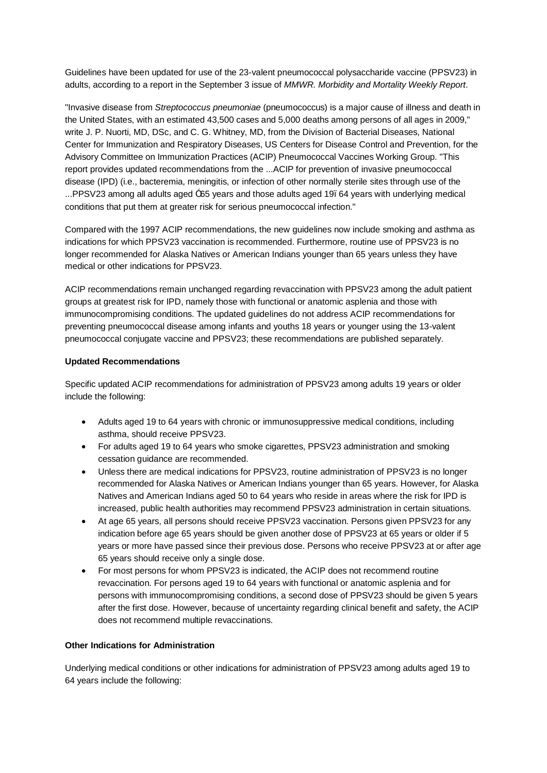Guidelines have been updated for use of the 23-valent pneumococcal polysaccharide vaccine (PPSV23) in adults, according to a report in the September 3 issue of *MMWR. Morbidity and Mortality Weekly Report*.

"Invasive disease from *Streptococcus pneumoniae* (pneumococcus) is a major cause of illness and death in the United States, with an estimated 43,500 cases and 5,000 deaths among persons of all ages in 2009," write J. P. Nuorti, MD, DSc, and C. G. Whitney, MD, from the Division of Bacterial Diseases, National Center for Immunization and Respiratory Diseases, US Centers for Disease Control and Prevention, for the Advisory Committee on Immunization Practices (ACIP) Pneumococcal Vaccines Working Group. "This report provides updated recommendations from the ...ACIP for prevention of invasive pneumococcal disease (IPD) (i.e., bacteremia, meningitis, or infection of other normally sterile sites through use of the ...PPSV23 among all adults aged  $<sup>-</sup>65$  years and those adults aged 19. 64 years with underlying medical</sup> conditions that put them at greater risk for serious pneumococcal infection."

Compared with the 1997 ACIP recommendations, the new guidelines now include smoking and asthma as indications for which PPSV23 vaccination is recommended. Furthermore, routine use of PPSV23 is no longer recommended for Alaska Natives or American Indians younger than 65 years unless they have medical or other indications for PPSV23.

ACIP recommendations remain unchanged regarding revaccination with PPSV23 among the adult patient groups at greatest risk for IPD, namely those with functional or anatomic asplenia and those with immunocompromising conditions. The updated guidelines do not address ACIP recommendations for preventing pneumococcal disease among infants and youths 18 years or younger using the 13-valent pneumococcal conjugate vaccine and PPSV23; these recommendations are published separately.

## **Updated Recommendations**

Specific updated ACIP recommendations for administration of PPSV23 among adults 19 years or older include the following:

- · Adults aged 19 to 64 years with chronic or immunosuppressive medical conditions, including asthma, should receive PPSV23.
- · For adults aged 19 to 64 years who smoke cigarettes, PPSV23 administration and smoking cessation guidance are recommended.
- · Unless there are medical indications for PPSV23, routine administration of PPSV23 is no longer recommended for Alaska Natives or American Indians younger than 65 years. However, for Alaska Natives and American Indians aged 50 to 64 years who reside in areas where the risk for IPD is increased, public health authorities may recommend PPSV23 administration in certain situations.
- · At age 65 years, all persons should receive PPSV23 vaccination. Persons given PPSV23 for any indication before age 65 years should be given another dose of PPSV23 at 65 years or older if 5 years or more have passed since their previous dose. Persons who receive PPSV23 at or after age 65 years should receive only a single dose.
- · For most persons for whom PPSV23 is indicated, the ACIP does not recommend routine revaccination. For persons aged 19 to 64 years with functional or anatomic asplenia and for persons with immunocompromising conditions, a second dose of PPSV23 should be given 5 years after the first dose. However, because of uncertainty regarding clinical benefit and safety, the ACIP does not recommend multiple revaccinations.

## **Other Indications for Administration**

Underlying medical conditions or other indications for administration of PPSV23 among adults aged 19 to 64 years include the following: